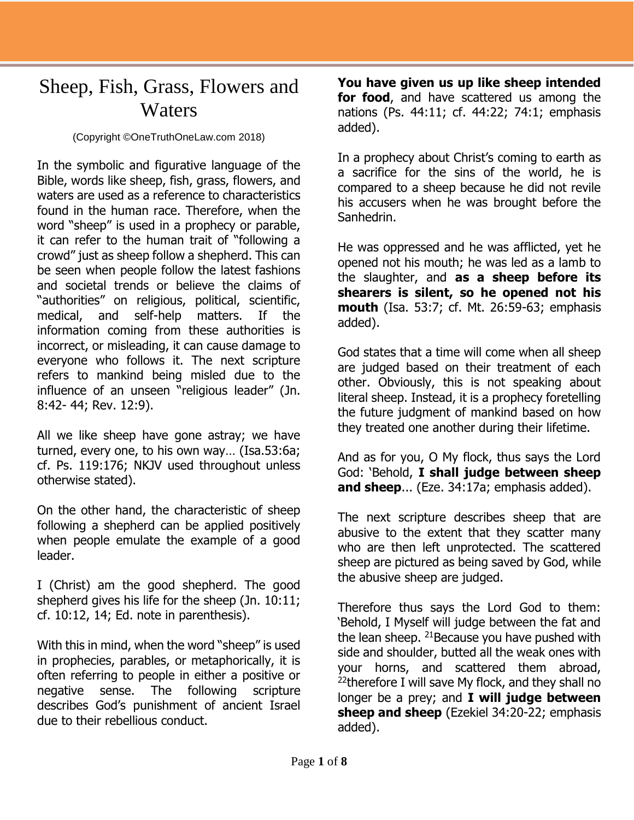## Sheep, Fish, Grass, Flowers and **Waters**

## (Copyright ©OneTruthOneLaw.com 2018)

In the symbolic and figurative language of the Bible, words like sheep, fish, grass, flowers, and waters are used as a reference to characteristics found in the human race. Therefore, when the word "sheep" is used in a prophecy or parable, it can refer to the human trait of "following a crowd" just as sheep follow a shepherd. This can be seen when people follow the latest fashions and societal trends or believe the claims of "authorities" on religious, political, scientific, medical, and self-help matters. If the information coming from these authorities is incorrect, or misleading, it can cause damage to everyone who follows it. The next scripture refers to mankind being misled due to the influence of an unseen "religious leader" (Jn. 8:42- 44; Rev. 12:9).

All we like sheep have gone astray; we have turned, every one, to his own way… (Isa.53:6a; cf. Ps. 119:176; NKJV used throughout unless otherwise stated).

On the other hand, the characteristic of sheep following a shepherd can be applied positively when people emulate the example of a good leader.

I (Christ) am the good shepherd. The good shepherd gives his life for the sheep (Jn. 10:11; cf. 10:12, 14; Ed. note in parenthesis).

With this in mind, when the word "sheep" is used in prophecies, parables, or metaphorically, it is often referring to people in either a positive or negative sense. The following scripture describes God's punishment of ancient Israel due to their rebellious conduct.

**You have given us up like sheep intended for food**, and have scattered us among the nations (Ps. 44:11; cf. 44:22; 74:1; emphasis added).

In a prophecy about Christ's coming to earth as a sacrifice for the sins of the world, he is compared to a sheep because he did not revile his accusers when he was brought before the Sanhedrin.

He was oppressed and he was afflicted, yet he opened not his mouth; he was led as a lamb to the slaughter, and **as a sheep before its shearers is silent, so he opened not his mouth** (Isa. 53:7; cf. Mt. 26:59-63; emphasis added).

God states that a time will come when all sheep are judged based on their treatment of each other. Obviously, this is not speaking about literal sheep. Instead, it is a prophecy foretelling the future judgment of mankind based on how they treated one another during their lifetime.

And as for you, O My flock, thus says the Lord God: 'Behold, **I shall judge between sheep and sheep**... (Eze. 34:17a; emphasis added).

The next scripture describes sheep that are abusive to the extent that they scatter many who are then left unprotected. The scattered sheep are pictured as being saved by God, while the abusive sheep are judged.

Therefore thus says the Lord God to them: 'Behold, I Myself will judge between the fat and the lean sheep.  $21$  Because you have pushed with side and shoulder, butted all the weak ones with your horns, and scattered them abroad,  $22$ therefore I will save My flock, and they shall no longer be a prey; and **I will judge between sheep and sheep** (Ezekiel 34:20-22; emphasis added).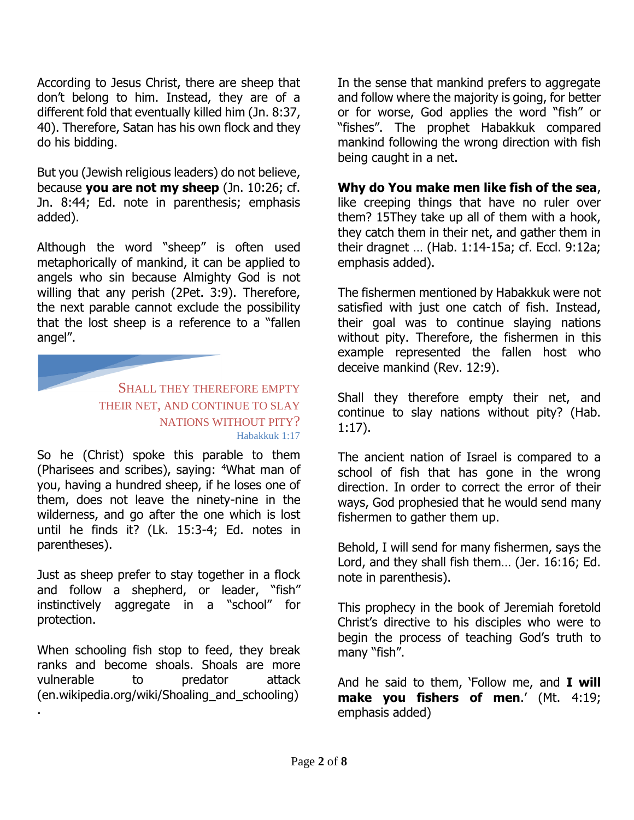According to Jesus Christ, there are sheep that don't belong to him. Instead, they are of a different fold that eventually killed him (Jn. 8:37, 40). Therefore, Satan has his own flock and they do his bidding.

But you (Jewish religious leaders) do not believe, because **you are not my sheep** (Jn. 10:26; cf. Jn. 8:44; Ed. note in parenthesis; emphasis added).

Although the word "sheep" is often used metaphorically of mankind, it can be applied to angels who sin because Almighty God is not willing that any perish (2Pet. 3:9). Therefore, the next parable cannot exclude the possibility that the lost sheep is a reference to a "fallen angel".

> SHALL THEY THEREFORE EMPTY THEIR NET, AND CONTINUE TO SLAY NATIONS WITHOUT PITY? Habakkuk 1:17

So he (Christ) spoke this parable to them (Pharisees and scribes), saying: <sup>4</sup>What man of you, having a hundred sheep, if he loses one of them, does not leave the ninety-nine in the wilderness, and go after the one which is lost until he finds it? (Lk. 15:3-4; Ed. notes in parentheses).

Just as sheep prefer to stay together in a flock and follow a shepherd, or leader, "fish" instinctively aggregate in a "school" for protection.

When schooling fish stop to feed, they break ranks and become shoals. Shoals are more vulnerable to predator attack (en.wikipedia.org/wiki/Shoaling\_and\_schooling) .

In the sense that mankind prefers to aggregate and follow where the majority is going, for better or for worse, God applies the word "fish" or "fishes". The prophet Habakkuk compared mankind following the wrong direction with fish being caught in a net.

**Why do You make men like fish of the sea**, like creeping things that have no ruler over them? 15They take up all of them with a hook, they catch them in their net, and gather them in their dragnet … (Hab. 1:14-15a; cf. Eccl. 9:12a; emphasis added).

The fishermen mentioned by Habakkuk were not satisfied with just one catch of fish. Instead, their goal was to continue slaying nations without pity. Therefore, the fishermen in this example represented the fallen host who deceive mankind (Rev. 12:9).

Shall they therefore empty their net, and continue to slay nations without pity? (Hab. 1:17).

The ancient nation of Israel is compared to a school of fish that has gone in the wrong direction. In order to correct the error of their ways, God prophesied that he would send many fishermen to gather them up.

Behold, I will send for many fishermen, says the Lord, and they shall fish them… (Jer. 16:16; Ed. note in parenthesis).

This prophecy in the book of Jeremiah foretold Christ's directive to his disciples who were to begin the process of teaching God's truth to many "fish".

And he said to them, 'Follow me, and **I will make you fishers of men**.' (Mt. 4:19; emphasis added)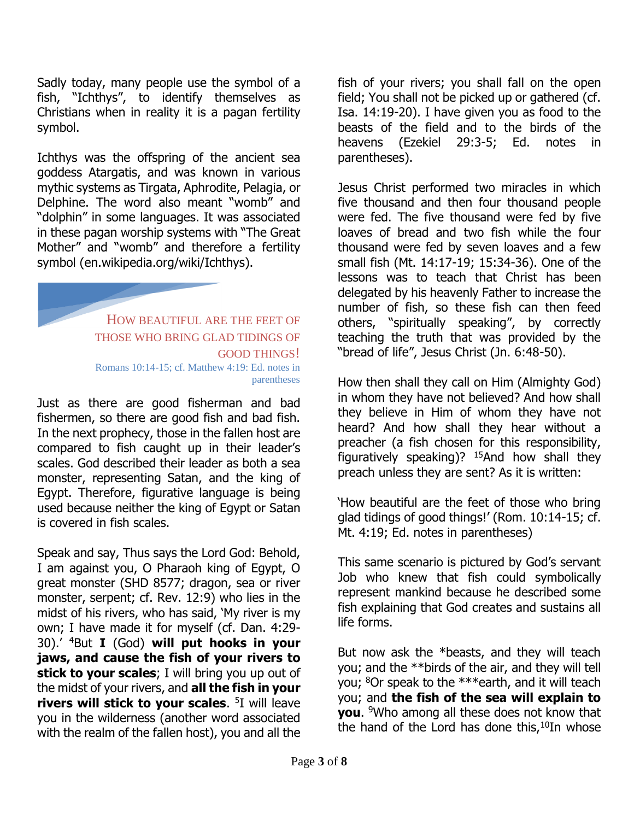Sadly today, many people use the symbol of a fish, "Ichthys", to identify themselves as Christians when in reality it is a pagan fertility symbol.

Ichthys was the offspring of the ancient sea goddess Atargatis, and was known in various mythic systems as Tirgata, Aphrodite, Pelagia, or Delphine. The word also meant "womb" and "dolphin" in some languages. It was associated in these pagan worship systems with "The Great Mother" and "womb" and therefore a fertility symbol (en.wikipedia.org/wiki/Ichthys).

> HOW BEAUTIFUL ARE THE FEET OF THOSE WHO BRING GLAD TIDINGS OF GOOD THINGS! Romans 10:14-15; cf. Matthew 4:19: Ed. notes in parentheses

Just as there are good fisherman and bad fishermen, so there are good fish and bad fish. In the next prophecy, those in the fallen host are compared to fish caught up in their leader's scales. God described their leader as both a sea monster, representing Satan, and the king of Egypt. Therefore, figurative language is being used because neither the king of Egypt or Satan is covered in fish scales.

Speak and say, Thus says the Lord God: Behold, I am against you, O Pharaoh king of Egypt, O great monster (SHD 8577; dragon, sea or river monster, serpent; cf. Rev. 12:9) who lies in the midst of his rivers, who has said, 'My river is my own; I have made it for myself (cf. Dan. 4:29- 30).' <sup>4</sup>But **I** (God) **will put hooks in your jaws, and cause the fish of your rivers to stick to your scales**; I will bring you up out of the midst of your rivers, and **all the fish in your rivers will stick to your scales**. 5 I will leave you in the wilderness (another word associated with the realm of the fallen host), you and all the

fish of your rivers; you shall fall on the open field; You shall not be picked up or gathered (cf. Isa. 14:19-20). I have given you as food to the beasts of the field and to the birds of the heavens (Ezekiel 29:3-5; Ed. notes in parentheses).

Jesus Christ performed two miracles in which five thousand and then four thousand people were fed. The five thousand were fed by five loaves of bread and two fish while the four thousand were fed by seven loaves and a few small fish (Mt. 14:17-19; 15:34-36). One of the lessons was to teach that Christ has been delegated by his heavenly Father to increase the number of fish, so these fish can then feed others, "spiritually speaking", by correctly teaching the truth that was provided by the "bread of life", Jesus Christ (Jn. 6:48-50).

How then shall they call on Him (Almighty God) in whom they have not believed? And how shall they believe in Him of whom they have not heard? And how shall they hear without a preacher (a fish chosen for this responsibility, figuratively speaking)?  $15$ And how shall they preach unless they are sent? As it is written:

'How beautiful are the feet of those who bring glad tidings of good things!' (Rom. 10:14-15; cf. Mt. 4:19; Ed. notes in parentheses)

This same scenario is pictured by God's servant Job who knew that fish could symbolically represent mankind because he described some fish explaining that God creates and sustains all life forms.

But now ask the \*beasts, and they will teach you; and the \*\*birds of the air, and they will tell you; <sup>8</sup>Or speak to the \*\*\*earth, and it will teach you; and **the fish of the sea will explain to you**. <sup>9</sup>Who among all these does not know that the hand of the Lord has done this, $10$ In whose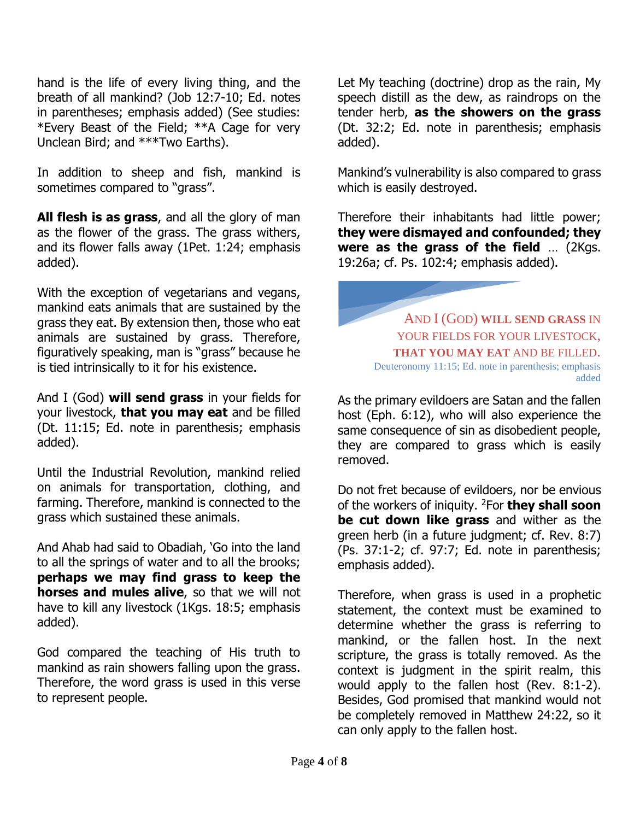hand is the life of every living thing, and the breath of all mankind? (Job 12:7-10; Ed. notes in parentheses; emphasis added) (See studies: \*Every Beast of the Field; \*\*A Cage for very Unclean Bird; and \*\*\*Two Earths).

In addition to sheep and fish, mankind is sometimes compared to "grass".

**All flesh is as grass**, and all the glory of man as the flower of the grass. The grass withers, and its flower falls away (1Pet. 1:24; emphasis added).

With the exception of vegetarians and vegans, mankind eats animals that are sustained by the grass they eat. By extension then, those who eat animals are sustained by grass. Therefore, figuratively speaking, man is "grass" because he is tied intrinsically to it for his existence.

And I (God) **will send grass** in your fields for your livestock, **that you may eat** and be filled (Dt. 11:15; Ed. note in parenthesis; emphasis added).

Until the Industrial Revolution, mankind relied on animals for transportation, clothing, and farming. Therefore, mankind is connected to the grass which sustained these animals.

And Ahab had said to Obadiah, 'Go into the land to all the springs of water and to all the brooks; **perhaps we may find grass to keep the horses and mules alive**, so that we will not have to kill any livestock (1Kgs. 18:5; emphasis added).

God compared the teaching of His truth to mankind as rain showers falling upon the grass. Therefore, the word grass is used in this verse to represent people.

Let My teaching (doctrine) drop as the rain, My speech distill as the dew, as raindrops on the tender herb, **as the showers on the grass** (Dt. 32:2; Ed. note in parenthesis; emphasis added).

Mankind's vulnerability is also compared to grass which is easily destroyed.

Therefore their inhabitants had little power; **they were dismayed and confounded; they were as the grass of the field** … (2Kgs. 19:26a; cf. Ps. 102:4; emphasis added).

AND I (GOD) **WILL SEND GRASS** IN YOUR FIELDS FOR YOUR LIVESTOCK. **THAT YOU MAY EAT** AND BE FILLED. Deuteronomy 11:15; Ed. note in parenthesis; emphasis added

As the primary evildoers are Satan and the fallen host (Eph. 6:12), who will also experience the same consequence of sin as disobedient people, they are compared to grass which is easily removed.

Do not fret because of evildoers, nor be envious of the workers of iniquity. <sup>2</sup>For **they shall soon be cut down like grass** and wither as the green herb (in a future judgment; cf. Rev. 8:7) (Ps. 37:1-2; cf. 97:7; Ed. note in parenthesis; emphasis added).

Therefore, when grass is used in a prophetic statement, the context must be examined to determine whether the grass is referring to mankind, or the fallen host. In the next scripture, the grass is totally removed. As the context is judgment in the spirit realm, this would apply to the fallen host (Rev. 8:1-2). Besides, God promised that mankind would not be completely removed in Matthew 24:22, so it can only apply to the fallen host.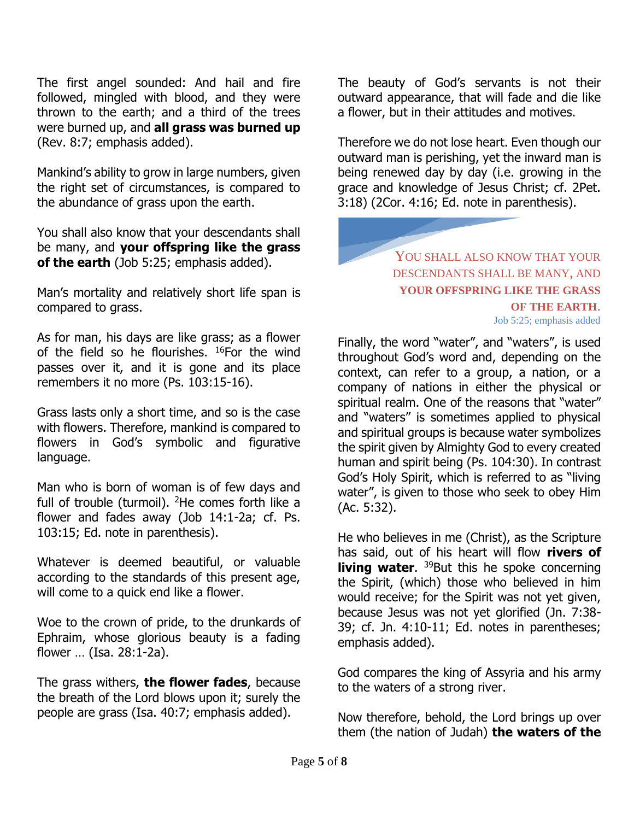The first angel sounded: And hail and fire followed, mingled with blood, and they were thrown to the earth; and a third of the trees were burned up, and **all grass was burned up** (Rev. 8:7; emphasis added).

Mankind's ability to grow in large numbers, given the right set of circumstances, is compared to the abundance of grass upon the earth.

You shall also know that your descendants shall be many, and **your offspring like the grass of the earth** (Job 5:25; emphasis added).

Man's mortality and relatively short life span is compared to grass.

As for man, his days are like grass; as a flower of the field so he flourishes. <sup>16</sup>For the wind passes over it, and it is gone and its place remembers it no more (Ps. 103:15-16).

Grass lasts only a short time, and so is the case with flowers. Therefore, mankind is compared to flowers in God's symbolic and figurative language.

Man who is born of woman is of few days and full of trouble (turmoil). <sup>2</sup>He comes forth like a flower and fades away (Job 14:1-2a; cf. Ps. 103:15; Ed. note in parenthesis).

Whatever is deemed beautiful, or valuable according to the standards of this present age, will come to a quick end like a flower.

Woe to the crown of pride, to the drunkards of Ephraim, whose glorious beauty is a fading flower … (Isa. 28:1-2a).

The grass withers, **the flower fades**, because the breath of the Lord blows upon it; surely the people are grass (Isa. 40:7; emphasis added).

The beauty of God's servants is not their outward appearance, that will fade and die like a flower, but in their attitudes and motives.

Therefore we do not lose heart. Even though our outward man is perishing, yet the inward man is being renewed day by day (i.e. growing in the grace and knowledge of Jesus Christ; cf. 2Pet. 3:18) (2Cor. 4:16; Ed. note in parenthesis).

## YOU SHALL ALSO KNOW THAT YOUR DESCENDANTS SHALL BE MANY, AND **YOUR OFFSPRING LIKE THE GRASS OF THE EARTH**.

Job 5:25; emphasis added

Finally, the word "water", and "waters", is used throughout God's word and, depending on the context, can refer to a group, a nation, or a company of nations in either the physical or spiritual realm. One of the reasons that "water" and "waters" is sometimes applied to physical and spiritual groups is because water symbolizes the spirit given by Almighty God to every created human and spirit being (Ps. 104:30). In contrast God's Holy Spirit, which is referred to as "living water", is given to those who seek to obey Him (Ac. 5:32).

He who believes in me (Christ), as the Scripture has said, out of his heart will flow **rivers of living water.** <sup>39</sup>But this he spoke concerning the Spirit, (which) those who believed in him would receive; for the Spirit was not yet given, because Jesus was not yet glorified (Jn. 7:38- 39; cf. Jn. 4:10-11; Ed. notes in parentheses; emphasis added).

God compares the king of Assyria and his army to the waters of a strong river.

Now therefore, behold, the Lord brings up over them (the nation of Judah) **the waters of the**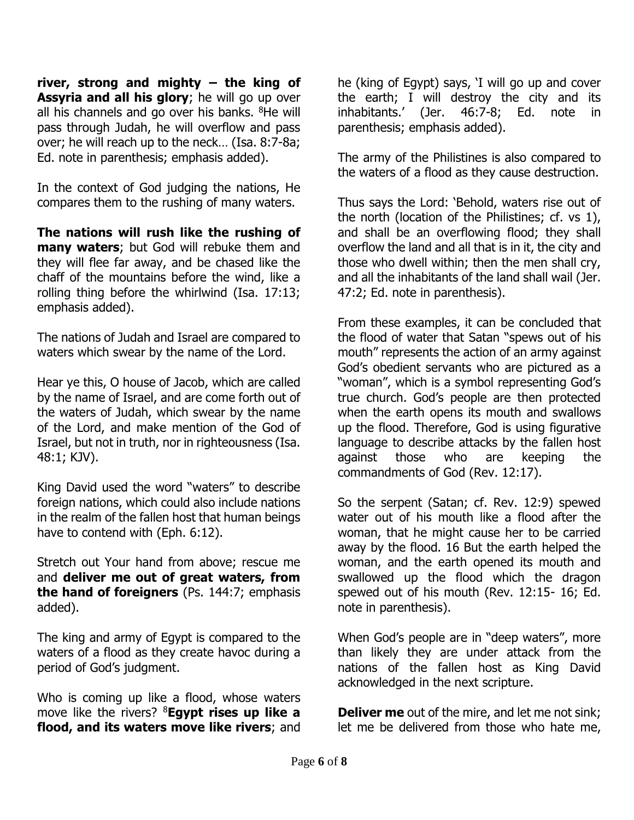**river, strong and mighty – the king of Assyria and all his glory**; he will go up over all his channels and go over his banks. <sup>8</sup>He will pass through Judah, he will overflow and pass over; he will reach up to the neck… (Isa. 8:7-8a; Ed. note in parenthesis; emphasis added).

In the context of God judging the nations, He compares them to the rushing of many waters.

**The nations will rush like the rushing of many waters**; but God will rebuke them and they will flee far away, and be chased like the chaff of the mountains before the wind, like a rolling thing before the whirlwind (Isa. 17:13; emphasis added).

The nations of Judah and Israel are compared to waters which swear by the name of the Lord.

Hear ye this, O house of Jacob, which are called by the name of Israel, and are come forth out of the waters of Judah, which swear by the name of the Lord, and make mention of the God of Israel, but not in truth, nor in righteousness (Isa. 48:1; KJV).

King David used the word "waters" to describe foreign nations, which could also include nations in the realm of the fallen host that human beings have to contend with (Eph. 6:12).

Stretch out Your hand from above; rescue me and **deliver me out of great waters, from the hand of foreigners** (Ps. 144:7; emphasis added).

The king and army of Egypt is compared to the waters of a flood as they create havoc during a period of God's judgment.

Who is coming up like a flood, whose waters move like the rivers? <sup>8</sup>**Egypt rises up like a flood, and its waters move like rivers**; and

he (king of Egypt) says, 'I will go up and cover the earth; I will destroy the city and its inhabitants.' (Jer. 46:7-8; Ed. note in parenthesis; emphasis added).

The army of the Philistines is also compared to the waters of a flood as they cause destruction.

Thus says the Lord: 'Behold, waters rise out of the north (location of the Philistines; cf. vs 1), and shall be an overflowing flood; they shall overflow the land and all that is in it, the city and those who dwell within; then the men shall cry, and all the inhabitants of the land shall wail (Jer. 47:2; Ed. note in parenthesis).

From these examples, it can be concluded that the flood of water that Satan "spews out of his mouth" represents the action of an army against God's obedient servants who are pictured as a "woman", which is a symbol representing God's true church. God's people are then protected when the earth opens its mouth and swallows up the flood. Therefore, God is using figurative language to describe attacks by the fallen host against those who are keeping the commandments of God (Rev. 12:17).

So the serpent (Satan; cf. Rev. 12:9) spewed water out of his mouth like a flood after the woman, that he might cause her to be carried away by the flood. 16 But the earth helped the woman, and the earth opened its mouth and swallowed up the flood which the dragon spewed out of his mouth (Rev. 12:15- 16; Ed. note in parenthesis).

When God's people are in "deep waters", more than likely they are under attack from the nations of the fallen host as King David acknowledged in the next scripture.

**Deliver me** out of the mire, and let me not sink; let me be delivered from those who hate me,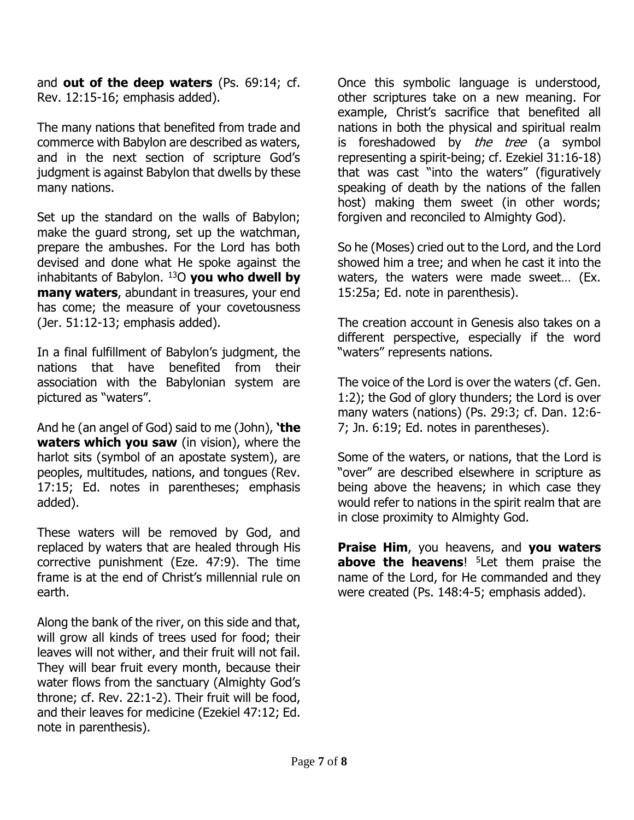and **out of the deep waters** (Ps. 69:14; cf. Rev. 12:15-16; emphasis added).

The many nations that benefited from trade and commerce with Babylon are described as waters, and in the next section of scripture God's judgment is against Babylon that dwells by these many nations.

Set up the standard on the walls of Babylon; make the guard strong, set up the watchman, prepare the ambushes. For the Lord has both devised and done what He spoke against the inhabitants of Babylon. <sup>13</sup>O **you who dwell by many waters**, abundant in treasures, your end has come; the measure of your covetousness (Jer. 51:12-13; emphasis added).

In a final fulfillment of Babylon's judgment, the nations that have benefited from their association with the Babylonian system are pictured as "waters".

And he (an angel of God) said to me (John), **'the waters which you saw** (in vision), where the harlot sits (symbol of an apostate system), are peoples, multitudes, nations, and tongues (Rev. 17:15; Ed. notes in parentheses; emphasis added).

These waters will be removed by God, and replaced by waters that are healed through His corrective punishment (Eze. 47:9). The time frame is at the end of Christ's millennial rule on earth.

Along the bank of the river, on this side and that, will grow all kinds of trees used for food; their leaves will not wither, and their fruit will not fail. They will bear fruit every month, because their water flows from the sanctuary (Almighty God's throne; cf. Rev. 22:1-2). Their fruit will be food, and their leaves for medicine (Ezekiel 47:12; Ed. note in parenthesis).

Once this symbolic language is understood, other scriptures take on a new meaning. For example, Christ's sacrifice that benefited all nations in both the physical and spiritual realm is foreshadowed by the tree (a symbol representing a spirit-being; cf. Ezekiel 31:16-18) that was cast "into the waters" (figuratively speaking of death by the nations of the fallen host) making them sweet (in other words; forgiven and reconciled to Almighty God).

So he (Moses) cried out to the Lord, and the Lord showed him a tree; and when he cast it into the waters, the waters were made sweet… (Ex. 15:25a; Ed. note in parenthesis).

The creation account in Genesis also takes on a different perspective, especially if the word "waters" represents nations.

The voice of the Lord is over the waters (cf. Gen. 1:2); the God of glory thunders; the Lord is over many waters (nations) (Ps. 29:3; cf. Dan. 12:6- 7; Jn. 6:19; Ed. notes in parentheses).

Some of the waters, or nations, that the Lord is "over" are described elsewhere in scripture as being above the heavens; in which case they would refer to nations in the spirit realm that are in close proximity to Almighty God.

**Praise Him**, you heavens, and **you waters above the heavens**! <sup>5</sup>Let them praise the name of the Lord, for He commanded and they were created (Ps. 148:4-5; emphasis added).